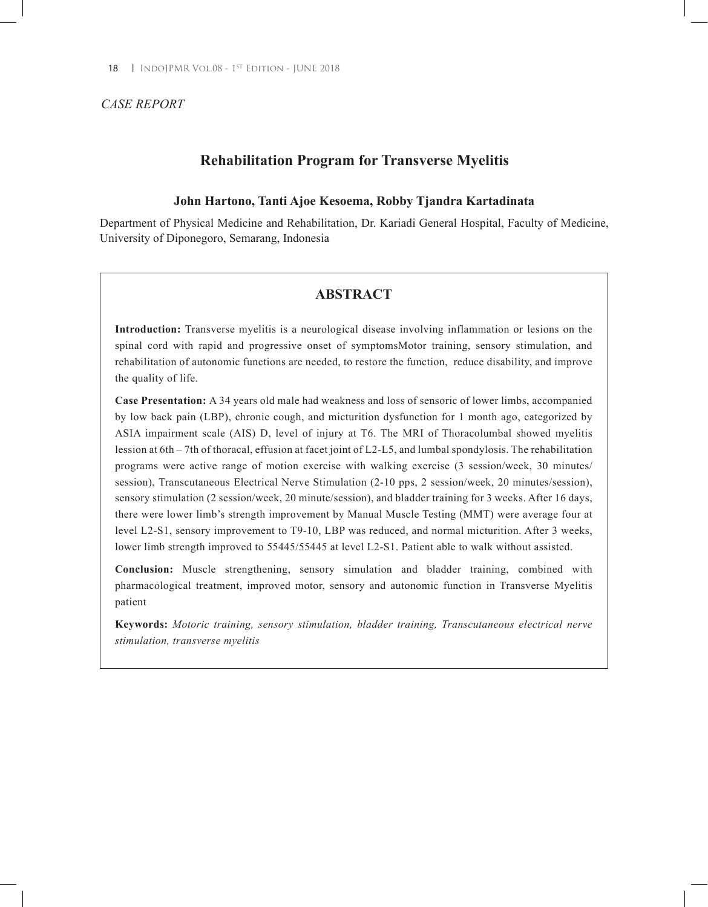### *CASE REPORT*

# **Rehabilitation Program for Transverse Myelitis**

### **John Hartono, Tanti Ajoe Kesoema, Robby Tjandra Kartadinata**

Department of Physical Medicine and Rehabilitation, Dr. Kariadi General Hospital, Faculty of Medicine, University of Diponegoro, Semarang, Indonesia

# **ABSTRACT**

**Introduction:** Transverse myelitis is a neurological disease involving inflammation or lesions on the spinal cord with rapid and progressive onset of symptomsMotor training, sensory stimulation, and rehabilitation of autonomic functions are needed, to restore the function, reduce disability, and improve the quality of life.

**Case Presentation:** A 34 years old male had weakness and loss of sensoric of lower limbs, accompanied by low back pain (LBP), chronic cough, and micturition dysfunction for 1 month ago, categorized by ASIA impairment scale (AIS) D, level of injury at T6. The MRI of Thoracolumbal showed myelitis lession at 6th – 7th of thoracal, effusion at facet joint of L2-L5, and lumbal spondylosis. The rehabilitation programs were active range of motion exercise with walking exercise (3 session/week, 30 minutes/ session), Transcutaneous Electrical Nerve Stimulation (2-10 pps, 2 session/week, 20 minutes/session), sensory stimulation (2 session/week, 20 minute/session), and bladder training for 3 weeks. After 16 days, there were lower limb's strength improvement by Manual Muscle Testing (MMT) were average four at level L2-S1, sensory improvement to T9-10, LBP was reduced, and normal micturition. After 3 weeks, lower limb strength improved to 55445/55445 at level L2-S1. Patient able to walk without assisted.

**Conclusion:** Muscle strengthening, sensory simulation and bladder training, combined with pharmacological treatment, improved motor, sensory and autonomic function in Transverse Myelitis patient

**Keywords:** *Motoric training, sensory stimulation, bladder training, Transcutaneous electrical nerve stimulation, transverse myelitis*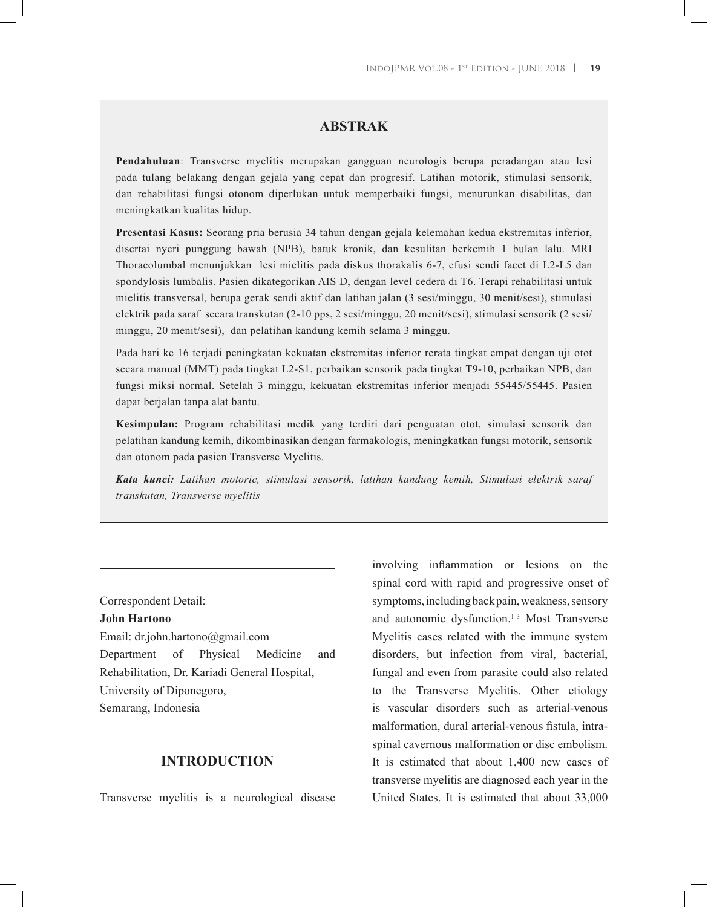# **ABSTRAK**

**Pendahuluan**: Transverse myelitis merupakan gangguan neurologis berupa peradangan atau lesi pada tulang belakang dengan gejala yang cepat dan progresif. Latihan motorik, stimulasi sensorik, dan rehabilitasi fungsi otonom diperlukan untuk memperbaiki fungsi, menurunkan disabilitas, dan meningkatkan kualitas hidup.

**Presentasi Kasus:** Seorang pria berusia 34 tahun dengan gejala kelemahan kedua ekstremitas inferior, disertai nyeri punggung bawah (NPB), batuk kronik, dan kesulitan berkemih 1 bulan lalu. MRI Thoracolumbal menunjukkan lesi mielitis pada diskus thorakalis 6-7, efusi sendi facet di L2-L5 dan spondylosis lumbalis. Pasien dikategorikan AIS D, dengan level cedera di T6. Terapi rehabilitasi untuk mielitis transversal, berupa gerak sendi aktif dan latihan jalan (3 sesi/minggu, 30 menit/sesi), stimulasi elektrik pada saraf secara transkutan (2-10 pps, 2 sesi/minggu, 20 menit/sesi), stimulasi sensorik (2 sesi/ minggu, 20 menit/sesi), dan pelatihan kandung kemih selama 3 minggu.

Pada hari ke 16 terjadi peningkatan kekuatan ekstremitas inferior rerata tingkat empat dengan uji otot secara manual (MMT) pada tingkat L2-S1, perbaikan sensorik pada tingkat T9-10, perbaikan NPB, dan fungsi miksi normal. Setelah 3 minggu, kekuatan ekstremitas inferior menjadi 55445/55445. Pasien dapat berjalan tanpa alat bantu.

**Kesimpulan:** Program rehabilitasi medik yang terdiri dari penguatan otot, simulasi sensorik dan pelatihan kandung kemih, dikombinasikan dengan farmakologis, meningkatkan fungsi motorik, sensorik dan otonom pada pasien Transverse Myelitis.

*Kata kunci: Latihan motoric, stimulasi sensorik, latihan kandung kemih, Stimulasi elektrik saraf transkutan, Transverse myelitis*

#### Correspondent Detail:

#### **John Hartono**

Email: dr.john.hartono@gmail.com Department of Physical Medicine and Rehabilitation, Dr. Kariadi General Hospital, University of Diponegoro, Semarang, Indonesia

#### **INTRODUCTION**

Transverse myelitis is a neurological disease

involving inflammation or lesions on the spinal cord with rapid and progressive onset of symptoms, including back pain, weakness, sensory and autonomic dysfunction.<sup>1-3</sup> Most Transverse Myelitis cases related with the immune system disorders, but infection from viral, bacterial, fungal and even from parasite could also related to the Transverse Myelitis. Other etiology is vascular disorders such as arterial-venous malformation, dural arterial-venous fistula, intraspinal cavernous malformation or disc embolism. It is estimated that about 1,400 new cases of transverse myelitis are diagnosed each year in the United States. It is estimated that about 33,000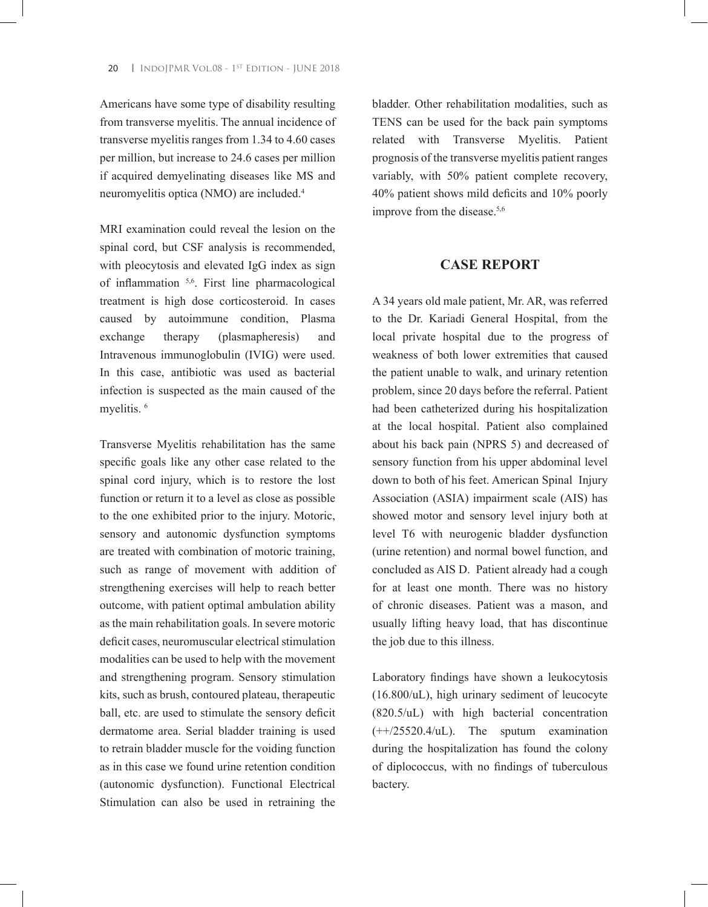Americans have some type of disability resulting from transverse myelitis. The annual incidence of transverse myelitis ranges from 1.34 to 4.60 cases per million, but increase to 24.6 cases per million if acquired demyelinating diseases like MS and neuromyelitis optica (NMO) are included.<sup>4</sup>

MRI examination could reveal the lesion on the spinal cord, but CSF analysis is recommended, with pleocytosis and elevated IgG index as sign of inflammation 5,6. First line pharmacological treatment is high dose corticosteroid. In cases caused by autoimmune condition, Plasma exchange therapy (plasmapheresis) and Intravenous immunoglobulin (IVIG) were used. In this case, antibiotic was used as bacterial infection is suspected as the main caused of the myelitis.<sup>6</sup>

Transverse Myelitis rehabilitation has the same specific goals like any other case related to the spinal cord injury, which is to restore the lost function or return it to a level as close as possible to the one exhibited prior to the injury. Motoric, sensory and autonomic dysfunction symptoms are treated with combination of motoric training, such as range of movement with addition of strengthening exercises will help to reach better outcome, with patient optimal ambulation ability as the main rehabilitation goals. In severe motoric deficit cases, neuromuscular electrical stimulation modalities can be used to help with the movement and strengthening program. Sensory stimulation kits, such as brush, contoured plateau, therapeutic ball, etc. are used to stimulate the sensory deficit dermatome area. Serial bladder training is used to retrain bladder muscle for the voiding function as in this case we found urine retention condition (autonomic dysfunction). Functional Electrical Stimulation can also be used in retraining the

bladder. Other rehabilitation modalities, such as TENS can be used for the back pain symptoms related with Transverse Myelitis. Patient prognosis of the transverse myelitis patient ranges variably, with 50% patient complete recovery, 40% patient shows mild deficits and 10% poorly improve from the disease.<sup>5,6</sup>

# **CASE REPORT**

A 34 years old male patient, Mr. AR, was referred to the Dr. Kariadi General Hospital, from the local private hospital due to the progress of weakness of both lower extremities that caused the patient unable to walk, and urinary retention problem, since 20 days before the referral. Patient had been catheterized during his hospitalization at the local hospital. Patient also complained about his back pain (NPRS 5) and decreased of sensory function from his upper abdominal level down to both of his feet. American Spinal Injury Association (ASIA) impairment scale (AIS) has showed motor and sensory level injury both at level T6 with neurogenic bladder dysfunction (urine retention) and normal bowel function, and concluded as AIS D. Patient already had a cough for at least one month. There was no history of chronic diseases. Patient was a mason, and usually lifting heavy load, that has discontinue the job due to this illness.

Laboratory findings have shown a leukocytosis (16.800/uL), high urinary sediment of leucocyte (820.5/uL) with high bacterial concentration (++/25520.4/uL). The sputum examination during the hospitalization has found the colony of diplococcus, with no findings of tuberculous bactery.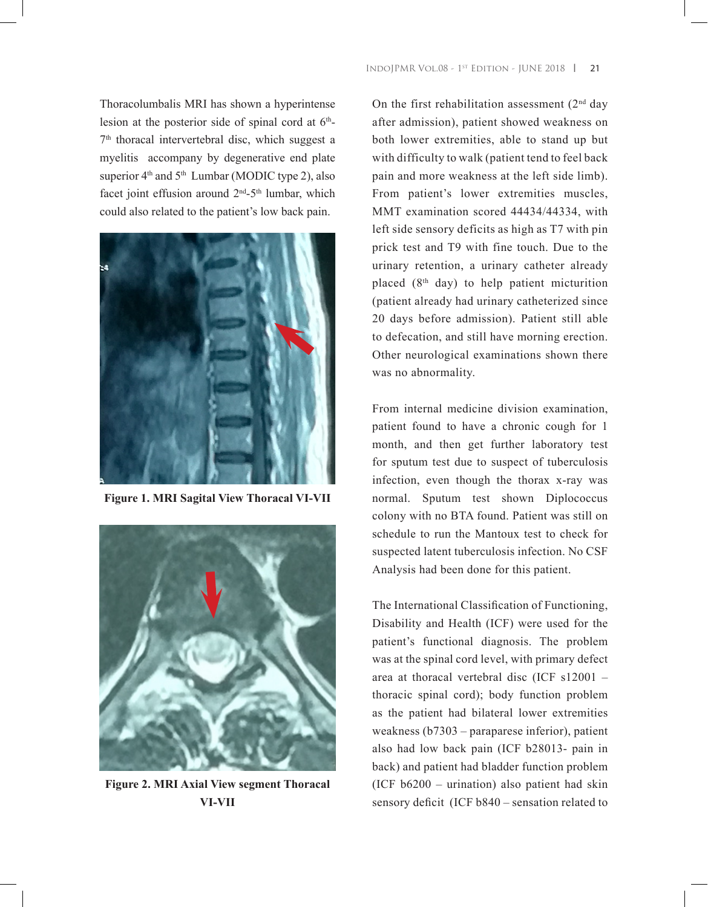Thoracolumbalis MRI has shown a hyperintense lesion at the posterior side of spinal cord at  $6<sup>th</sup>$ -7th thoracal intervertebral disc, which suggest a myelitis accompany by degenerative end plate superior  $4<sup>th</sup>$  and  $5<sup>th</sup>$  Lumbar (MODIC type 2), also facet joint effusion around 2nd-5th lumbar, which could also related to the patient's low back pain.



**Figure 1. MRI Sagital View Thoracal VI-VII**



**Figure 2. MRI Axial View segment Thoracal VI-VII**

On the first rehabilitation assessment  $(2<sup>nd</sup>$  day after admission), patient showed weakness on both lower extremities, able to stand up but with difficulty to walk (patient tend to feel back pain and more weakness at the left side limb). From patient's lower extremities muscles, MMT examination scored 44434/44334, with left side sensory deficits as high as T7 with pin prick test and T9 with fine touch. Due to the urinary retention, a urinary catheter already placed (8th day) to help patient micturition (patient already had urinary catheterized since 20 days before admission). Patient still able to defecation, and still have morning erection. Other neurological examinations shown there was no abnormality.

From internal medicine division examination, patient found to have a chronic cough for 1 month, and then get further laboratory test for sputum test due to suspect of tuberculosis infection, even though the thorax x-ray was normal. Sputum test shown Diplococcus colony with no BTA found. Patient was still on schedule to run the Mantoux test to check for suspected latent tuberculosis infection. No CSF Analysis had been done for this patient.

The International Classification of Functioning, Disability and Health (ICF) were used for the patient's functional diagnosis. The problem was at the spinal cord level, with primary defect area at thoracal vertebral disc (ICF s12001 – thoracic spinal cord); body function problem as the patient had bilateral lower extremities weakness (b7303 – paraparese inferior), patient also had low back pain (ICF b28013- pain in back) and patient had bladder function problem (ICF b6200 – urination) also patient had skin sensory deficit (ICF b840 – sensation related to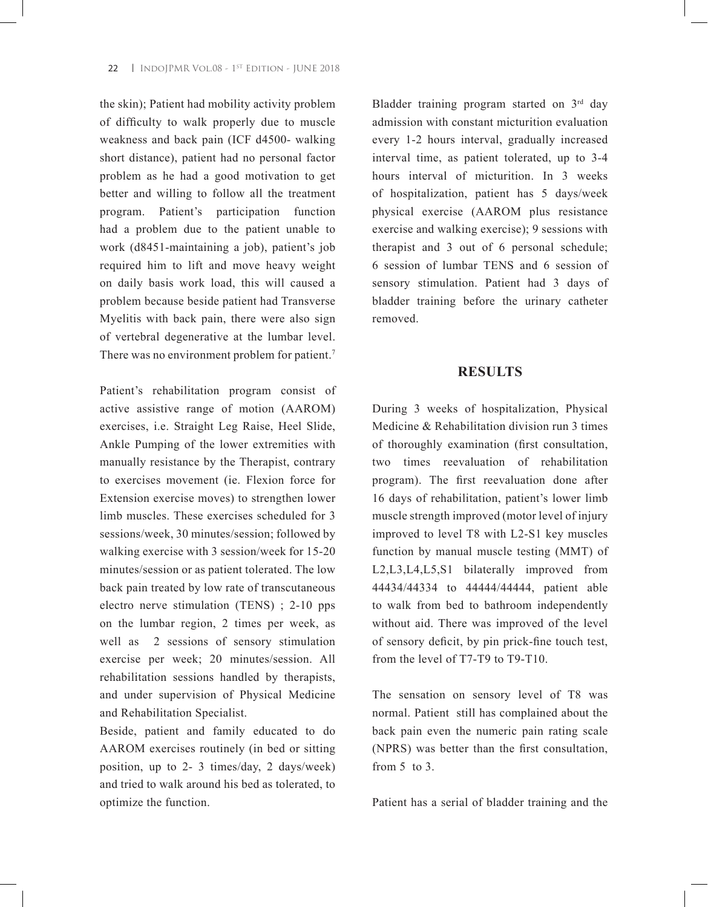the skin); Patient had mobility activity problem of difficulty to walk properly due to muscle weakness and back pain (ICF d4500- walking short distance), patient had no personal factor problem as he had a good motivation to get better and willing to follow all the treatment program. Patient's participation function had a problem due to the patient unable to work (d8451-maintaining a job), patient's job required him to lift and move heavy weight on daily basis work load, this will caused a problem because beside patient had Transverse Myelitis with back pain, there were also sign of vertebral degenerative at the lumbar level. There was no environment problem for patient.<sup>7</sup>

Patient's rehabilitation program consist of active assistive range of motion (AAROM) exercises, i.e. Straight Leg Raise, Heel Slide, Ankle Pumping of the lower extremities with manually resistance by the Therapist, contrary to exercises movement (ie. Flexion force for Extension exercise moves) to strengthen lower limb muscles. These exercises scheduled for 3 sessions/week, 30 minutes/session; followed by walking exercise with 3 session/week for 15-20 minutes/session or as patient tolerated. The low back pain treated by low rate of transcutaneous electro nerve stimulation (TENS) ; 2-10 pps on the lumbar region, 2 times per week, as well as 2 sessions of sensory stimulation exercise per week; 20 minutes/session. All rehabilitation sessions handled by therapists, and under supervision of Physical Medicine and Rehabilitation Specialist.

Beside, patient and family educated to do AAROM exercises routinely (in bed or sitting position, up to 2- 3 times/day, 2 days/week) and tried to walk around his bed as tolerated, to optimize the function.

Bladder training program started on 3<sup>rd</sup> day admission with constant micturition evaluation every 1-2 hours interval, gradually increased interval time, as patient tolerated, up to 3-4 hours interval of micturition. In 3 weeks of hospitalization, patient has 5 days/week physical exercise (AAROM plus resistance exercise and walking exercise); 9 sessions with therapist and 3 out of 6 personal schedule; 6 session of lumbar TENS and 6 session of sensory stimulation. Patient had 3 days of bladder training before the urinary catheter removed.

#### **RESULTS**

During 3 weeks of hospitalization, Physical Medicine & Rehabilitation division run 3 times of thoroughly examination (first consultation, two times reevaluation of rehabilitation program). The first reevaluation done after 16 days of rehabilitation, patient's lower limb muscle strength improved (motor level of injury improved to level T8 with L2-S1 key muscles function by manual muscle testing (MMT) of L2,L3,L4,L5,S1 bilaterally improved from 44434/44334 to 44444/44444, patient able to walk from bed to bathroom independently without aid. There was improved of the level of sensory deficit, by pin prick-fine touch test, from the level of T7-T9 to T9-T10.

The sensation on sensory level of T8 was normal. Patient still has complained about the back pain even the numeric pain rating scale (NPRS) was better than the first consultation, from  $5$  to  $3$ .

Patient has a serial of bladder training and the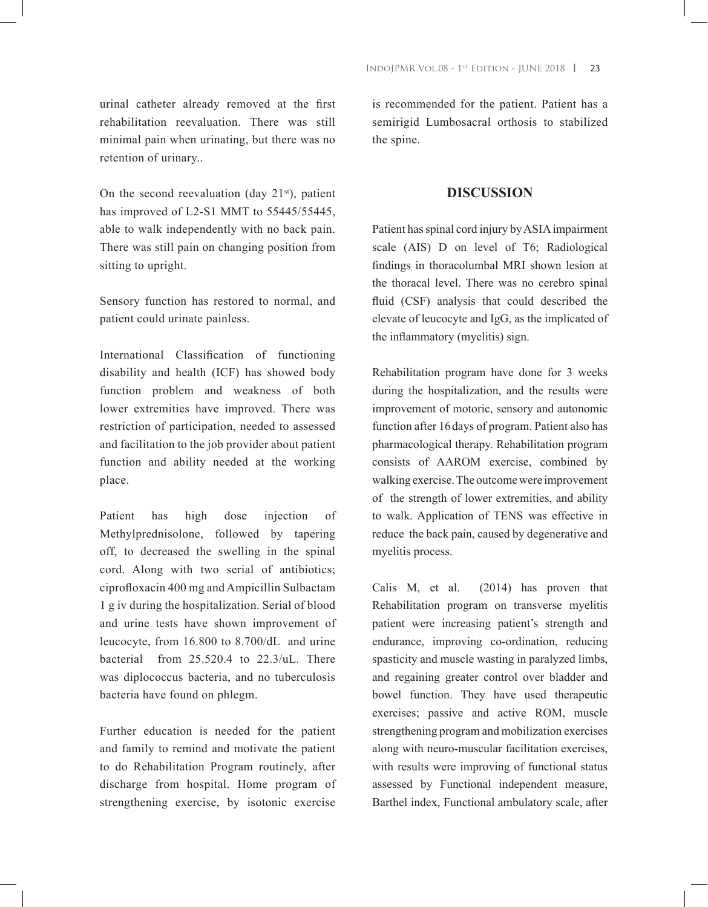urinal catheter already removed at the first rehabilitation reevaluation. There was still minimal pain when urinating, but there was no retention of urinary..

On the second reevaluation (day  $21<sup>st</sup>$ ), patient has improved of L2-S1 MMT to 55445/55445, able to walk independently with no back pain. There was still pain on changing position from sitting to upright.

Sensory function has restored to normal, and patient could urinate painless.

International Classification of functioning disability and health (ICF) has showed body function problem and weakness of both lower extremities have improved. There was restriction of participation, needed to assessed and facilitation to the job provider about patient function and ability needed at the working place.

Patient has high dose injection of Methylprednisolone, followed by tapering off, to decreased the swelling in the spinal cord. Along with two serial of antibiotics; ciprofloxacin 400 mg and Ampicillin Sulbactam 1 g iv during the hospitalization. Serial of blood and urine tests have shown improvement of leucocyte, from 16.800 to 8.700/dL and urine bacterial from 25.520.4 to 22.3/uL. There was diplococcus bacteria, and no tuberculosis bacteria have found on phlegm.

Further education is needed for the patient and family to remind and motivate the patient to do Rehabilitation Program routinely, after discharge from hospital. Home program of strengthening exercise, by isotonic exercise

is recommended for the patient. Patient has a semirigid Lumbosacral orthosis to stabilized the spine.

# **DISCUSSION**

Patient has spinal cord injury by ASIA impairment scale (AIS) D on level of T6; Radiological findings in thoracolumbal MRI shown lesion at the thoracal level. There was no cerebro spinal fluid (CSF) analysis that could described the elevate of leucocyte and IgG, as the implicated of the inflammatory (myelitis) sign.

Rehabilitation program have done for 3 weeks during the hospitalization, and the results were improvement of motoric, sensory and autonomic function after 16days of program. Patient also has pharmacological therapy. Rehabilitation program consists of AAROM exercise, combined by walking exercise. The outcome were improvement of the strength of lower extremities, and ability to walk. Application of TENS was effective in reduce the back pain, caused by degenerative and myelitis process.

Calis M, et al. (2014) has proven that Rehabilitation program on transverse myelitis patient were increasing patient's strength and endurance, improving co-ordination, reducing spasticity and muscle wasting in paralyzed limbs, and regaining greater control over bladder and bowel function. They have used therapeutic exercises; passive and active ROM, muscle strengthening program and mobilization exercises along with neuro-muscular facilitation exercises, with results were improving of functional status assessed by Functional independent measure, Barthel index, Functional ambulatory scale, after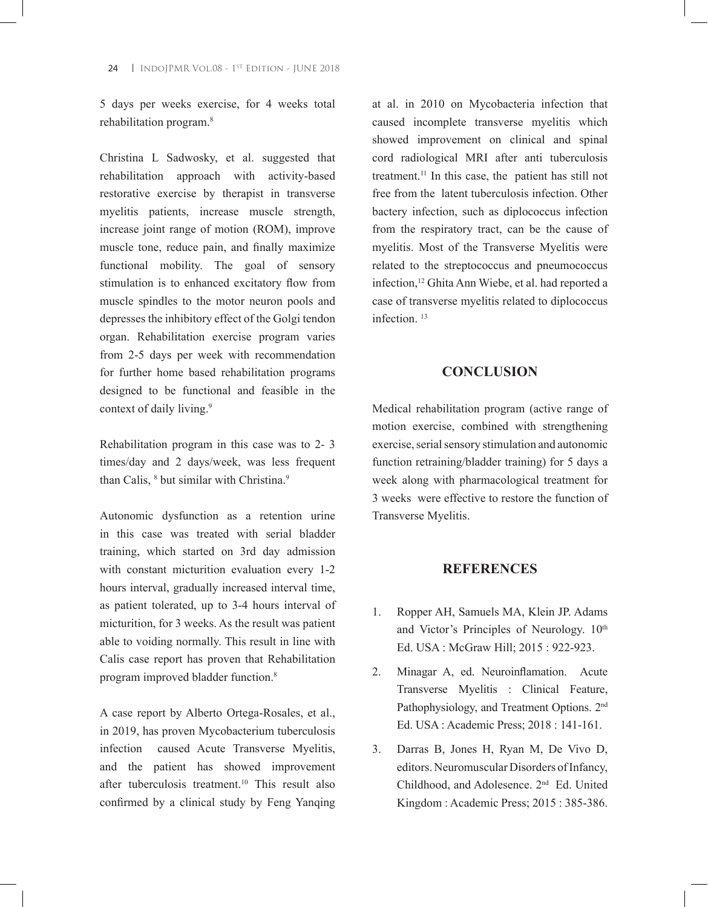**24** | INDOJPMR VOL.08 - 1<sup>ST</sup> EDITION - JUNE 2018

5 days per weeks exercise, for 4 weeks total rehabilitation program.8

Christina L Sadwosky, et al. suggested that rehabilitation approach with activity-based restorative exercise by therapist in transverse myelitis patients, increase muscle strength, increase joint range of motion (ROM), improve muscle tone, reduce pain, and finally maximize functional mobility. The goal of sensory stimulation is to enhanced excitatory flow from muscle spindles to the motor neuron pools and depresses the inhibitory effect of the Golgi tendon organ. Rehabilitation exercise program varies from 2-5 days per week with recommendation for further home based rehabilitation programs designed to be functional and feasible in the context of daily living.<sup>9</sup>

Rehabilitation program in this case was to 2- 3 times/day and 2 days/week, was less frequent than Calis, <sup>8</sup> but similar with Christina.<sup>9</sup>

Autonomic dysfunction as a retention urine in this case was treated with serial bladder training, which started on 3rd day admission with constant micturition evaluation every 1-2 hours interval, gradually increased interval time, as patient tolerated, up to 3-4 hours interval of micturition, for 3 weeks. As the result was patient able to voiding normally. This result in line with Calis case report has proven that Rehabilitation program improved bladder function.8

A case report by Alberto Ortega-Rosales, et al., in 2019, has proven Mycobacterium tuberculosis infection caused Acute Transverse Myelitis, and the patient has showed improvement after tuberculosis treatment.<sup>10</sup> This result also confirmed by a clinical study by Feng Yanqing

at al. in 2010 on Mycobacteria infection that caused incomplete transverse myelitis which showed improvement on clinical and spinal cord radiological MRI after anti tuberculosis treatment.11 In this case, the patient has still not free from the latent tuberculosis infection. Other bactery infection, such as diplococcus infection from the respiratory tract, can be the cause of myelitis. Most of the Transverse Myelitis were related to the streptococcus and pneumococcus infection,<sup>12</sup> Ghita Ann Wiebe, et al. had reported a case of transverse myelitis related to diplococcus infection <sup>13</sup>

## **CONCLUSION**

Medical rehabilitation program (active range of motion exercise, combined with strengthening exercise, serial sensory stimulation and autonomic function retraining/bladder training) for 5 days a week along with pharmacological treatment for 3 weeks were effective to restore the function of Transverse Myelitis.

### **REFERENCES**

- 1. Ropper AH, Samuels MA, Klein JP. Adams and Victor's Principles of Neurology.  $10^{th}$ Ed. USA : McGraw Hill; 2015 : 922-923.
- 2. Minagar A, ed. Neuroinflamation. Acute Transverse Myelitis : Clinical Feature, Pathophysiology, and Treatment Options. 2<sup>nd</sup> Ed. USA : Academic Press; 2018 : 141-161.
- 3. Darras B, Jones H, Ryan M, De Vivo D, editors. Neuromuscular Disorders of Infancy, Childhood, and Adolesence. 2nd Ed. United Kingdom : Academic Press; 2015 : 385-386.